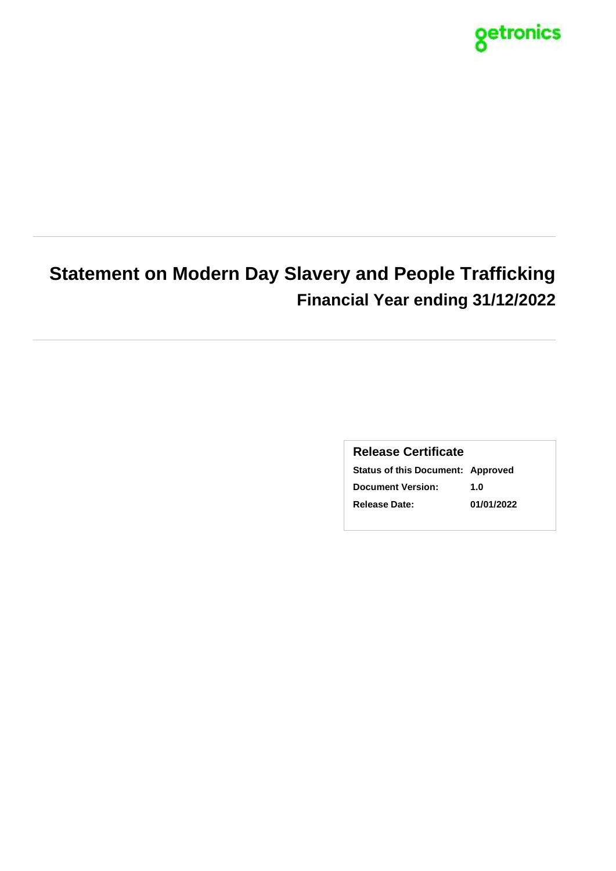

# **Statement on Modern Day Slavery and People Trafficking Financial Year ending 31/12/2022**

### **Release Certificate**

**Status of this Document: Approved Document Version: 1.0 Release Date: 01/01/2022**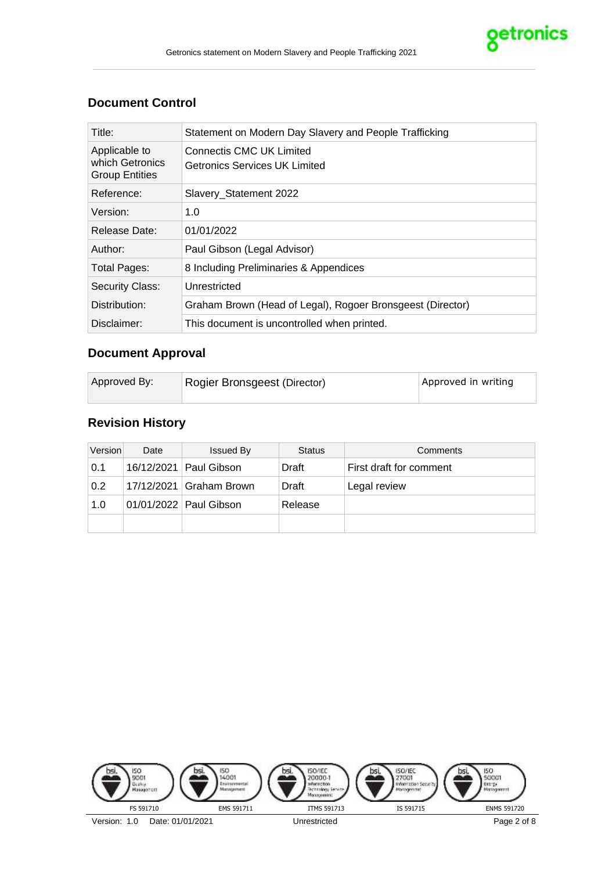

### **Document Control**

| Title:                                                    | Statement on Modern Day Slavery and People Trafficking           |  |
|-----------------------------------------------------------|------------------------------------------------------------------|--|
| Applicable to<br>which Getronics<br><b>Group Entities</b> | Connectis CMC UK Limited<br><b>Getronics Services UK Limited</b> |  |
| Reference:                                                | Slavery_Statement 2022                                           |  |
| Version:                                                  | 1.0                                                              |  |
| Release Date:                                             | 01/01/2022                                                       |  |
| Author:                                                   | Paul Gibson (Legal Advisor)                                      |  |
| <b>Total Pages:</b>                                       | 8 Including Preliminaries & Appendices                           |  |
| <b>Security Class:</b>                                    | Unrestricted                                                     |  |
| Distribution:                                             | Graham Brown (Head of Legal), Rogoer Bronsgeest (Director)       |  |
| Disclaimer:                                               | This document is uncontrolled when printed.                      |  |

# **Document Approval**

# **Revision History**

| Version | Date | <b>Issued By</b>         | <b>Status</b> | Comments                |
|---------|------|--------------------------|---------------|-------------------------|
| 0.1     |      | 16/12/2021   Paul Gibson | Draft         | First draft for comment |
| 0.2     |      | 17/12/2021 Graham Brown  | Draft         | Legal review            |
| 1.0     |      | 01/01/2022   Paul Gibson | Release       |                         |
|         |      |                          |               |                         |

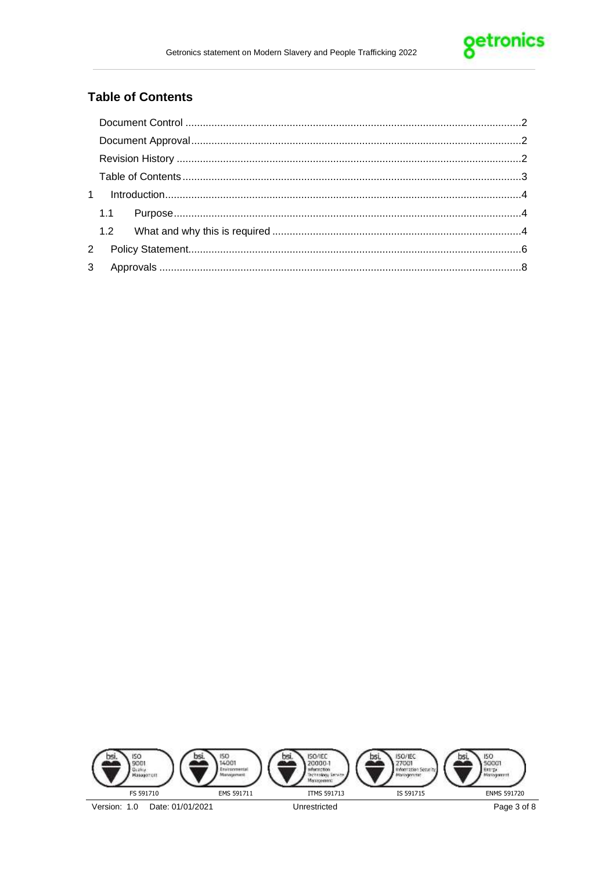

## **Table of Contents**

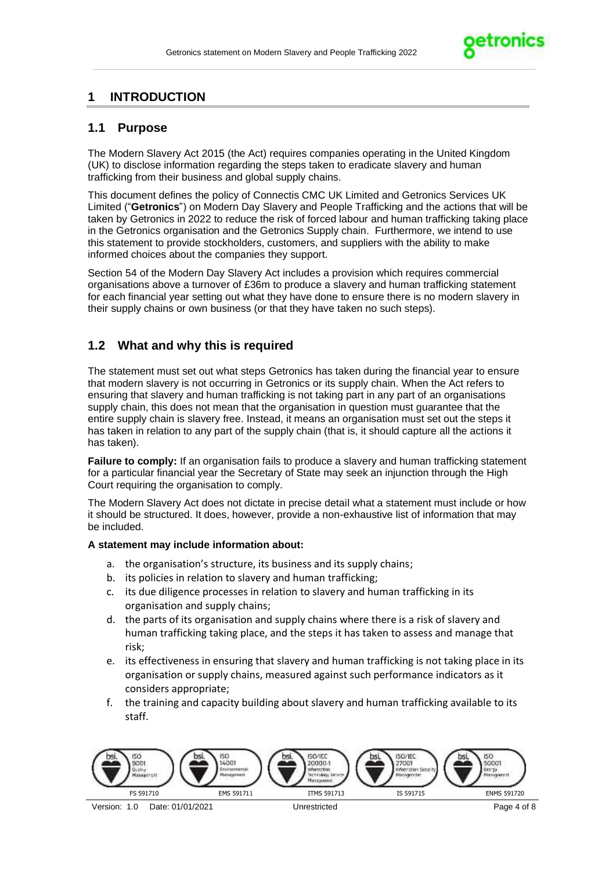

## **1 INTRODUCTION**

### **1.1 Purpose**

The Modern Slavery Act 2015 (the Act) requires companies operating in the United Kingdom (UK) to disclose information regarding the steps taken to eradicate slavery and human trafficking from their business and global supply chains.

This document defines the policy of Connectis CMC UK Limited and Getronics Services UK Limited ("**Getronics**") on Modern Day Slavery and People Trafficking and the actions that will be taken by Getronics in 2022 to reduce the risk of forced labour and human trafficking taking place in the Getronics organisation and the Getronics Supply chain. Furthermore, we intend to use this statement to provide stockholders, customers, and suppliers with the ability to make informed choices about the companies they support.

Section 54 of the Modern Day Slavery Act includes a provision which requires commercial organisations above a turnover of £36m to produce a slavery and human trafficking statement for each financial year setting out what they have done to ensure there is no modern slavery in their supply chains or own business (or that they have taken no such steps).

### **1.2 What and why this is required**

The statement must set out what steps Getronics has taken during the financial year to ensure that modern slavery is not occurring in Getronics or its supply chain. When the Act refers to ensuring that slavery and human trafficking is not taking part in any part of an organisations supply chain, this does not mean that the organisation in question must guarantee that the entire supply chain is slavery free. Instead, it means an organisation must set out the steps it has taken in relation to any part of the supply chain (that is, it should capture all the actions it has taken).

**Failure to comply:** If an organisation fails to produce a slavery and human trafficking statement for a particular financial year the Secretary of State may seek an injunction through the High Court requiring the organisation to comply.

The Modern Slavery Act does not dictate in precise detail what a statement must include or how it should be structured. It does, however, provide a non-exhaustive list of information that may be included.

#### **A statement may include information about:**

- a. the organisation's structure, its business and its supply chains;
- b. its policies in relation to slavery and human trafficking;
- c. its due diligence processes in relation to slavery and human trafficking in its organisation and supply chains;
- d. the parts of its organisation and supply chains where there is a risk of slavery and human trafficking taking place, and the steps it has taken to assess and manage that risk;
- e. its effectiveness in ensuring that slavery and human trafficking is not taking place in its organisation or supply chains, measured against such performance indicators as it considers appropriate;
- f. the training and capacity building about slavery and human trafficking available to its staff.

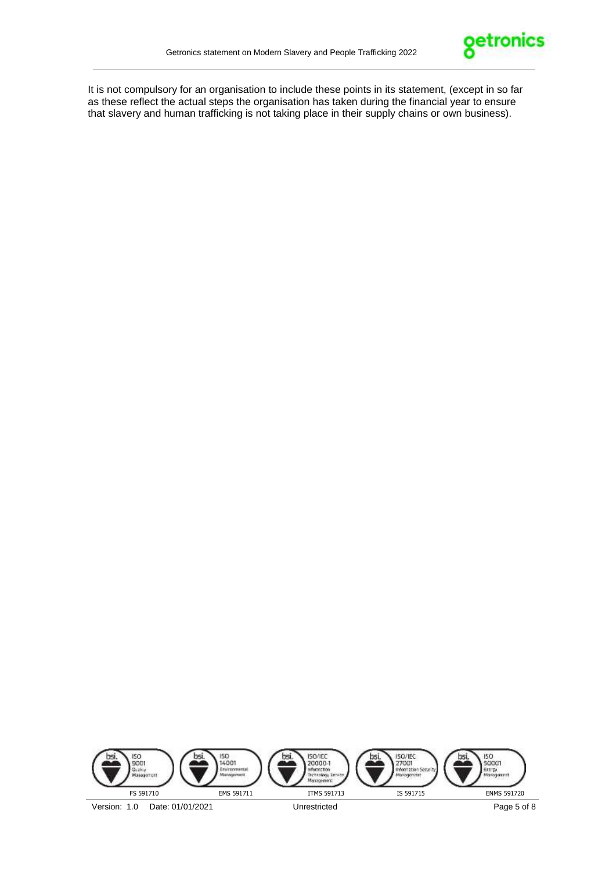

It is not compulsory for an organisation to include these points in its statement, (except in so far as these reflect the actual steps the organisation has taken during the financial year to ensure that slavery and human trafficking is not taking place in their supply chains or own business).

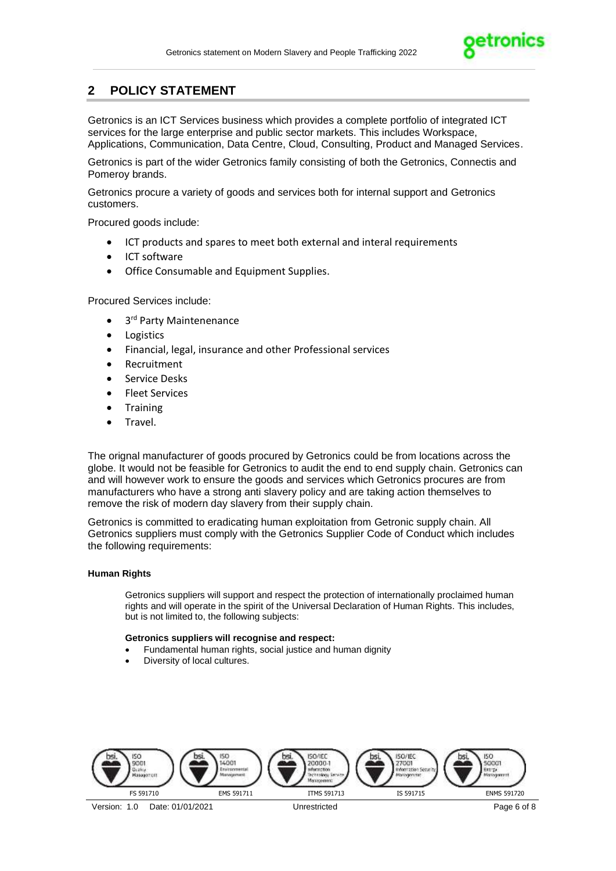

# **2 POLICY STATEMENT**

Getronics is an ICT Services business which provides a complete portfolio of integrated ICT services for the large enterprise and public sector markets. This includes Workspace, Applications, Communication, Data Centre, Cloud, Consulting, Product and Managed Services.

Getronics is part of the wider Getronics family consisting of both the Getronics, Connectis and Pomeroy brands.

Getronics procure a variety of goods and services both for internal support and Getronics customers.

Procured goods include:

- ICT products and spares to meet both external and interal requirements
- ICT software
- Office Consumable and Equipment Supplies.

Procured Services include:

- 3<sup>rd</sup> Party Maintenenance
- Logistics
- Financial, legal, insurance and other Professional services
- Recruitment
- Service Desks
- Fleet Services
- Training
- Travel.

The orignal manufacturer of goods procured by Getronics could be from locations across the globe. It would not be feasible for Getronics to audit the end to end supply chain. Getronics can and will however work to ensure the goods and services which Getronics procures are from manufacturers who have a strong anti slavery policy and are taking action themselves to remove the risk of modern day slavery from their supply chain.

Getronics is committed to eradicating human exploitation from Getronic supply chain. All Getronics suppliers must comply with the Getronics Supplier Code of Conduct which includes the following requirements:

#### **Human Rights**

Getronics suppliers will support and respect the protection of internationally proclaimed human rights and will operate in the spirit of the Universal Declaration of Human Rights. This includes, but is not limited to, the following subjects:

#### **Getronics suppliers will recognise and respect:**

- Fundamental human rights, social justice and human dignity
- Diversity of local cultures.

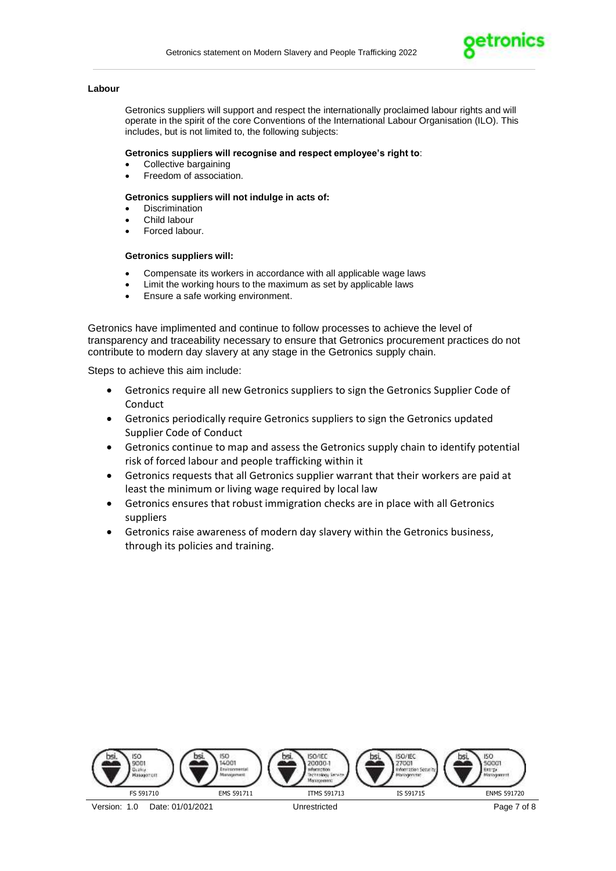

#### **Labour**

Getronics suppliers will support and respect the internationally proclaimed labour rights and will operate in the spirit of the core Conventions of the International Labour Organisation (ILO). This includes, but is not limited to, the following subjects:

#### **Getronics suppliers will recognise and respect employee's right to**:

- Collective bargaining
- Freedom of association.

#### **Getronics suppliers will not indulge in acts of:**

- **Discrimination**
- Child labour
- Forced labour.

#### **Getronics suppliers will:**

- Compensate its workers in accordance with all applicable wage laws
- Limit the working hours to the maximum as set by applicable laws
- Ensure a safe working environment.

Getronics have implimented and continue to follow processes to achieve the level of transparency and traceability necessary to ensure that Getronics procurement practices do not contribute to modern day slavery at any stage in the Getronics supply chain.

Steps to achieve this aim include:

- Getronics require all new Getronics suppliers to sign the Getronics Supplier Code of Conduct
- Getronics periodically require Getronics suppliers to sign the Getronics updated Supplier Code of Conduct
- Getronics continue to map and assess the Getronics supply chain to identify potential risk of forced labour and people trafficking within it
- Getronics requests that all Getronics supplier warrant that their workers are paid at least the minimum or living wage required by local law
- Getronics ensures that robust immigration checks are in place with all Getronics suppliers
- Getronics raise awareness of modern day slavery within the Getronics business, through its policies and training.